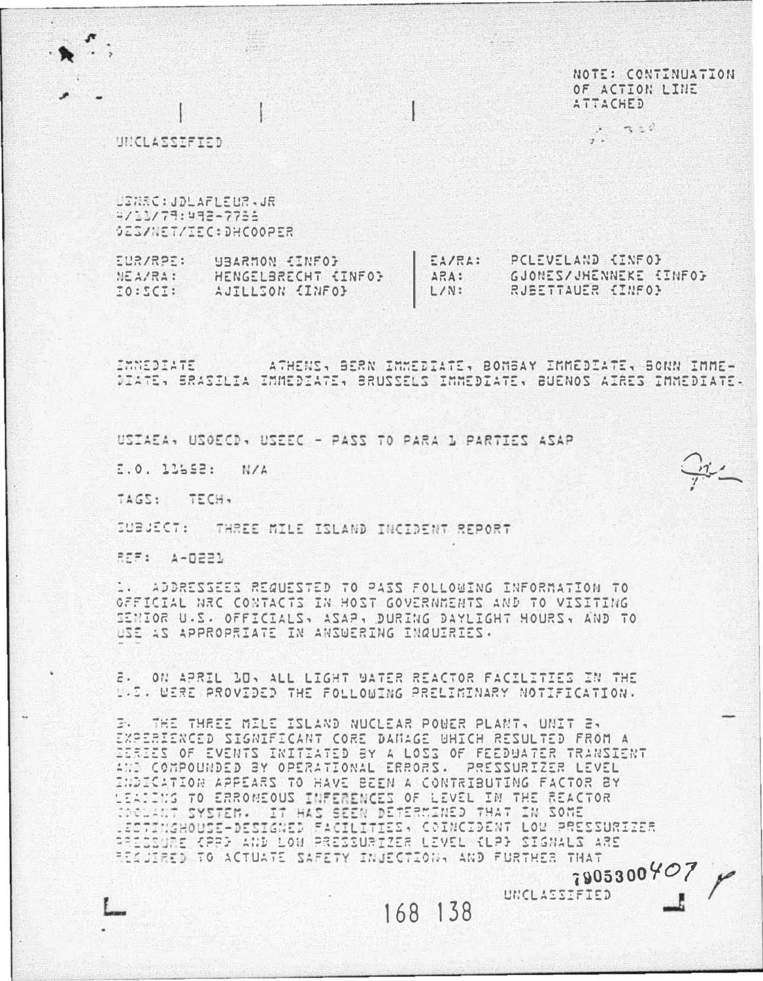NOTE: CONTINUATION OF ACTION LINE ATTACHED

> $\cdot$   $\cdot$   $\cdot$   $\cdot$  $1.7$

**UNICLASSIFIED** 

USWEC: JOLAFLEUR - JR 4/11/79:492-7736 OESANETAIEC: DHCOOPER

EUR/RPE: **UBARMON EINFOR** EA/RA: PCLEVELAND (INFO) ARA: CJONES/JHENNEKE (INFO) NEA/RA: HENGELBRECHT (INFO) RUBETTAUER (INFO)  $:222:02$ AUILLION (INFO)  $L/N$ :

ATHENS, BERN IMMEDIATE, BOMBAY IMMEDIATE, BONN IMME-IMMEDIATE DIATE: BRASILIA IMMEDIATE: BRUSSELS IMMEDIATE: BUENOS AIRES IMMEDIATE:

USIAEA, USOECD, USEEC - PASS TO PARA 1 PARTIES ASAP

E.O. 11552: N/A

TAGS: TECH,

SUBJECT: THREE MILE ISLAND INCIDENT REPORT

REF: A-D221

.. ADDRESSEES REQUESTED TO PASS FOLLOWING INFORMATION TO OFFICIAL NRC CONTACTS IN HOST GOVERNMENTS AND TO VISITING SENIOR U.S. OFFICIALS, ASAP, DURING DAYLIGHT HOURS, AND TO USE AS APPROPRIATE IN ANSUERING INQUIRIES.

ON APRIL DO, ALL LIGHT WATER REACTOR FACILITIES IN THE  $\bar{c}$ . U.S. UERE PROVIDED THE FOLLOWING PRELIMINARY NOTIFICATION.

THE THREE MILE ISLAND NUCLEAR POWER PLANT, UNIT 2, ÷. EXPERIENCED SIGNIFICANT CORE DANAGE UHICH RESULTED FROM A IERIES OF EVENTS INITIATED BY A LOSS OF FEEDWATER TRANSIENT AND COMPOUNDED BY OPERATIONAL ERRORS. PRESSURIZER LEVEL INDICATION APPEARS TO HAVE BEEN A CONTRIBUTING FACTOR BY LEATING TO ERROMEOUS INFERENCES OF LEVEL IN THE REACTOR TOOLANT SYSTEM. IT HAS SEEN DETERMINED THAT IN SOME ESTINGHOUSE-DESIGNED FACILITIES, COINCIDENT LOW PRESSURIZER PRESSURE CPPD AND LOW PRESSURTZER LEVEL CLPD SIGNALS ARE RESULRED TO ACTUATE SAFETY INJECTION, AND FURTHER THAT  $790530040$ 

168 138

UNCLASSIFIED